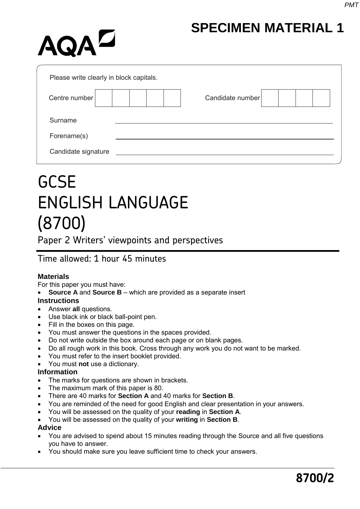## **SPECIMEN MATERIAL 1**

| <b>AQAL</b>                             |                  |  |
|-----------------------------------------|------------------|--|
| Please write clearly in block capitals. |                  |  |
| Centre number                           | Candidate number |  |
| Surname                                 |                  |  |
| Forename(s)                             |                  |  |
| Candidate signature                     |                  |  |

# **GCSE** ENGLISH LANGUAGE (8700)

Paper 2 Writers' viewpoints and perspectives

### Time allowed: 1 hour 45 minutes

#### **Materials**

For this paper you must have:

**Source A** and **Source B** – which are provided as a separate insert

#### **Instructions**

- Answer **all** questions.
- Use black ink or black ball-point pen.
- Fill in the boxes on this page.
- You must answer the questions in the spaces provided.
- Do not write outside the box around each page or on blank pages.
- Do all rough work in this book. Cross through any work you do not want to be marked.
- You must refer to the insert booklet provided.
- You must **not** use a dictionary.

#### **Information**

- The marks for questions are shown in brackets.
- The maximum mark of this paper is 80.
- There are 40 marks for **Section A** and 40 marks for **Section B**.
- You are reminded of the need for good English and clear presentation in your answers.
- You will be assessed on the quality of your **reading** in **Section A**.
- You will be assessed on the quality of your **writing** in **Section B**.

#### **Advice**

- You are advised to spend about 15 minutes reading through the Source and all five questions you have to answer.
- You should make sure you leave sufficient time to check your answers.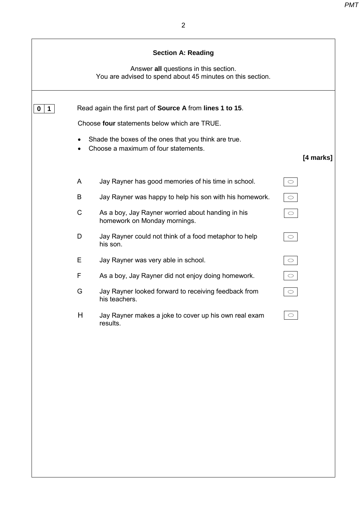|        |             | <b>Section A: Reading</b><br>Answer all questions in this section.<br>You are advised to spend about 45 minutes on this section. |            |
|--------|-------------|----------------------------------------------------------------------------------------------------------------------------------|------------|
|        |             |                                                                                                                                  |            |
| 1<br>0 |             | Read again the first part of Source A from lines 1 to 15.                                                                        |            |
|        |             | Choose four statements below which are TRUE.                                                                                     |            |
|        |             | Shade the boxes of the ones that you think are true.<br>Choose a maximum of four statements.                                     |            |
|        |             |                                                                                                                                  | [4 marks]  |
|        | A           | Jay Rayner has good memories of his time in school.                                                                              | $\circ$    |
|        | B           | Jay Rayner was happy to help his son with his homework.                                                                          | $\circ$    |
|        | $\mathsf C$ | As a boy, Jay Rayner worried about handing in his<br>homework on Monday mornings.                                                | $\circ$    |
|        | D           | Jay Rayner could not think of a food metaphor to help<br>his son.                                                                | $\bigcirc$ |
|        | E           | Jay Rayner was very able in school.                                                                                              | $\circ$    |
|        | F           | As a boy, Jay Rayner did not enjoy doing homework.                                                                               | $\bigcirc$ |
|        | G           | Jay Rayner looked forward to receiving feedback from<br>his teachers.                                                            | $\circ$    |
|        | H           | Jay Rayner makes a joke to cover up his own real exam<br>results.                                                                | $\circ$    |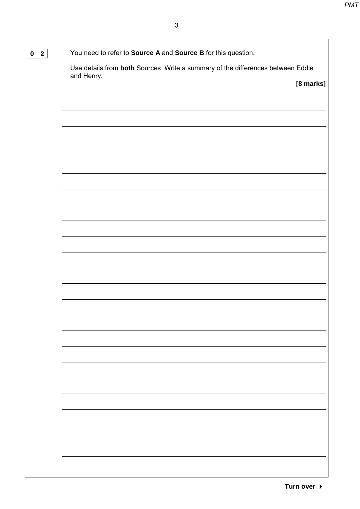I

| $\mathbf{2}$<br>$\mathbf 0$ | You need to refer to Source A and Source B for this question.                                 |  |
|-----------------------------|-----------------------------------------------------------------------------------------------|--|
|                             | Use details from both Sources. Write a summary of the differences between Eddie<br>and Henry. |  |
|                             | [8 marks]                                                                                     |  |
|                             |                                                                                               |  |
|                             |                                                                                               |  |
|                             |                                                                                               |  |
|                             |                                                                                               |  |
|                             |                                                                                               |  |
|                             |                                                                                               |  |
|                             |                                                                                               |  |
|                             |                                                                                               |  |
|                             |                                                                                               |  |
|                             |                                                                                               |  |
|                             |                                                                                               |  |
|                             |                                                                                               |  |
|                             |                                                                                               |  |
|                             |                                                                                               |  |
|                             |                                                                                               |  |
|                             |                                                                                               |  |
|                             |                                                                                               |  |
|                             |                                                                                               |  |
|                             |                                                                                               |  |
|                             |                                                                                               |  |
|                             |                                                                                               |  |
|                             |                                                                                               |  |
|                             |                                                                                               |  |
|                             |                                                                                               |  |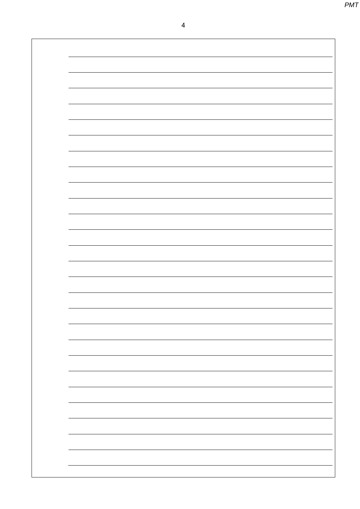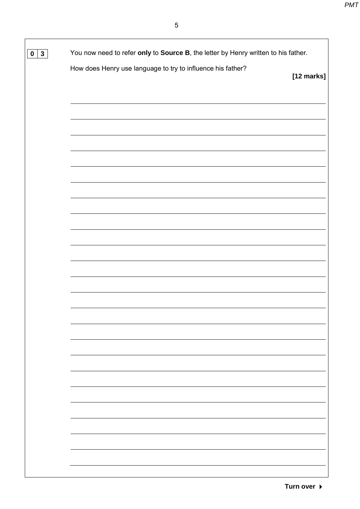| $0 \mid 3 \mid$ | You now need to refer only to Source B, the letter by Henry written to his father. |            |
|-----------------|------------------------------------------------------------------------------------|------------|
|                 | How does Henry use language to try to influence his father?                        | [12 marks] |
|                 |                                                                                    |            |
|                 |                                                                                    |            |
|                 |                                                                                    |            |
|                 |                                                                                    |            |
|                 |                                                                                    |            |
|                 |                                                                                    |            |
|                 |                                                                                    |            |
|                 |                                                                                    |            |
|                 |                                                                                    |            |
|                 |                                                                                    |            |
|                 |                                                                                    |            |
|                 |                                                                                    |            |
|                 |                                                                                    |            |
|                 |                                                                                    |            |
|                 |                                                                                    |            |
|                 |                                                                                    |            |
|                 |                                                                                    |            |
|                 |                                                                                    |            |
|                 |                                                                                    |            |
|                 |                                                                                    |            |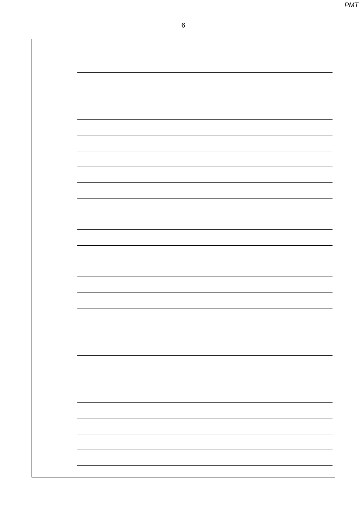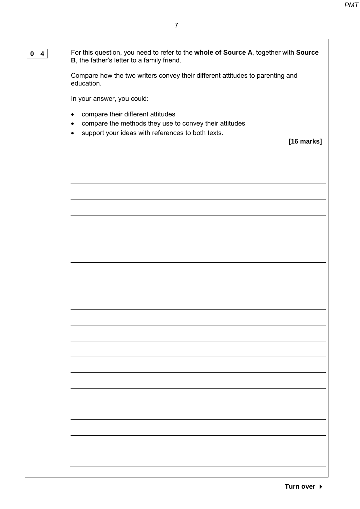ヿ

| $\overline{\mathbf{4}}$<br>$\mathbf 0$ | For this question, you need to refer to the whole of Source A, together with Source<br>B, the father's letter to a family friend.                                           |
|----------------------------------------|-----------------------------------------------------------------------------------------------------------------------------------------------------------------------------|
|                                        | Compare how the two writers convey their different attitudes to parenting and<br>education.                                                                                 |
|                                        | In your answer, you could:                                                                                                                                                  |
|                                        | compare their different attitudes<br>compare the methods they use to convey their attitudes<br>support your ideas with references to both texts.<br>$\bullet$<br>[16 marks] |
|                                        |                                                                                                                                                                             |
|                                        |                                                                                                                                                                             |
|                                        |                                                                                                                                                                             |
|                                        |                                                                                                                                                                             |
|                                        |                                                                                                                                                                             |
|                                        |                                                                                                                                                                             |
|                                        |                                                                                                                                                                             |
|                                        |                                                                                                                                                                             |
|                                        |                                                                                                                                                                             |
|                                        |                                                                                                                                                                             |
|                                        |                                                                                                                                                                             |
|                                        |                                                                                                                                                                             |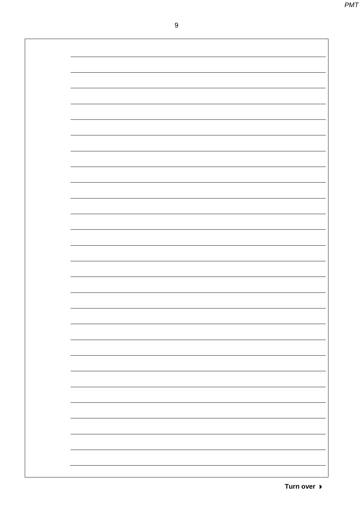9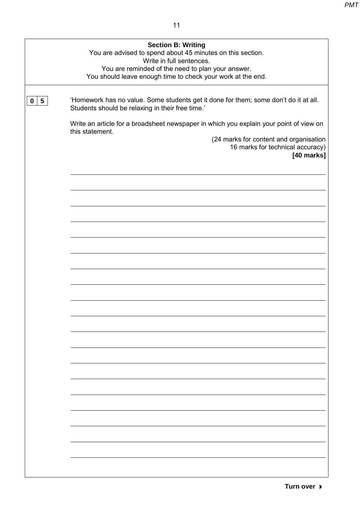|                      | <b>Section B: Writing</b><br>You are advised to spend about 45 minutes on this section.<br>Write in full sentences.<br>You are reminded of the need to plan your answer.<br>You should leave enough time to check your work at the end. |
|----------------------|-----------------------------------------------------------------------------------------------------------------------------------------------------------------------------------------------------------------------------------------|
| $5\phantom{.0}$<br>0 | 'Homework has no value. Some students get it done for them; some don't do it at all.<br>Students should be relaxing in their free time.'                                                                                                |
|                      | Write an article for a broadsheet newspaper in which you explain your point of view on<br>this statement.                                                                                                                               |
|                      | (24 marks for content and organisation<br>16 marks for technical accuracy)<br>[40 marks]                                                                                                                                                |
|                      |                                                                                                                                                                                                                                         |
|                      |                                                                                                                                                                                                                                         |
|                      |                                                                                                                                                                                                                                         |
|                      |                                                                                                                                                                                                                                         |
|                      |                                                                                                                                                                                                                                         |
|                      |                                                                                                                                                                                                                                         |
|                      |                                                                                                                                                                                                                                         |
|                      |                                                                                                                                                                                                                                         |
|                      |                                                                                                                                                                                                                                         |
|                      |                                                                                                                                                                                                                                         |
|                      |                                                                                                                                                                                                                                         |
|                      |                                                                                                                                                                                                                                         |
|                      |                                                                                                                                                                                                                                         |
|                      |                                                                                                                                                                                                                                         |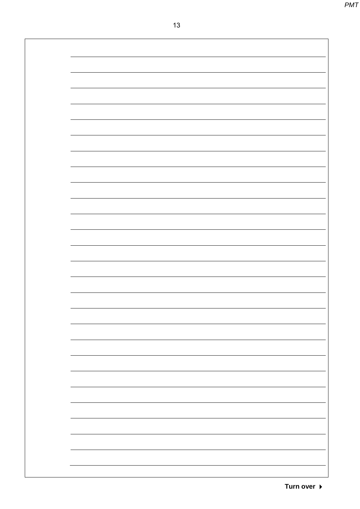13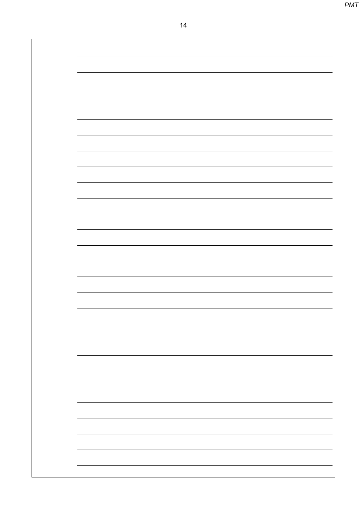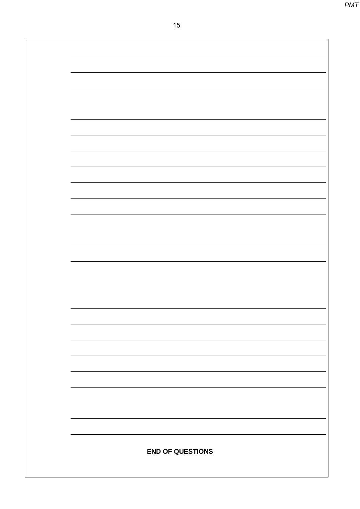| $\cdot$ $\cdot$         |
|-------------------------|
|                         |
|                         |
|                         |
|                         |
|                         |
|                         |
|                         |
|                         |
|                         |
|                         |
|                         |
|                         |
|                         |
|                         |
|                         |
|                         |
|                         |
|                         |
|                         |
|                         |
|                         |
|                         |
|                         |
|                         |
|                         |
|                         |
|                         |
|                         |
|                         |
|                         |
|                         |
|                         |
|                         |
|                         |
|                         |
|                         |
| <b>END OF QUESTIONS</b> |
|                         |
|                         |
|                         |